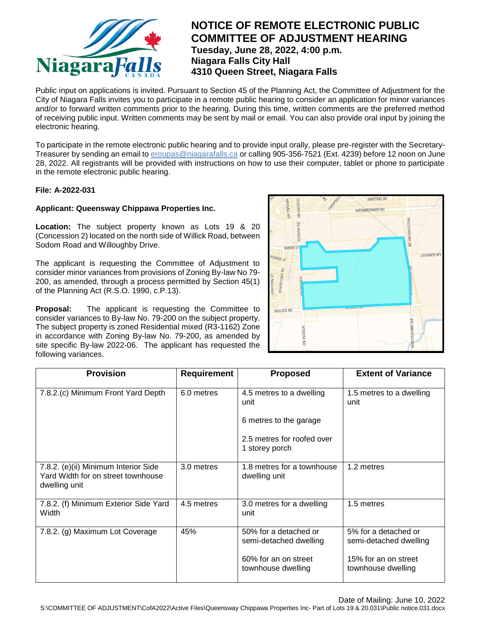

# **NOTICE OF REMOTE ELECTRONIC PUBLIC COMMITTEE OF ADJUSTMENT HEARING Tuesday, June 28, 2022, 4:00 p.m. Niagara Falls City Hall 4310 Queen Street, Niagara Falls**

Public input on applications is invited. Pursuant to Section 45 of the Planning Act, the Committee of Adjustment for the City of Niagara Falls invites you to participate in a remote public hearing to consider an application for minor variances and/or to forward written comments prior to the hearing. During this time, written comments are the preferred method of receiving public input. Written comments may be sent by mail or email. You can also provide oral input by joining the electronic hearing.

To participate in the remote electronic public hearing and to provide input orally, please pre-register with the Secretary-Treasurer by sending an email to eroupas@niagarafalls.ca or calling 905-356-7521 (Ext. 4239) before 12 noon on June 28, 2022. All registrants will be provided with instructions on how to use their computer, tablet or phone to participate in the remote electronic public hearing.

### **File: A-2022-031**

### **Applicant: Queensway Chippawa Properties Inc.**

**Location:** The subject property known as Lots 19 & 20 (Concession 2) located on the north side of Willick Road, between Sodom Road and Willoughby Drive.

The applicant is requesting the Committee of Adjustment to consider minor variances from provisions of Zoning By-law No 79- 200, as amended, through a process permitted by Section 45(1) of the Planning Act (R.S.O. 1990, c.P.13).

**Proposal:** The applicant is requesting the Committee to consider variances to By-law No. 79-200 on the subject property. The subject property is zoned Residential mixed (R3-1162) Zone in accordance with Zoning By-law No. 79-200, as amended by site specific By-law 2022-06. The applicant has requested the following variances.



| <b>Provision</b>                                                                            | Requirement | <b>Proposed</b>                                 | <b>Extent of Variance</b>                      |
|---------------------------------------------------------------------------------------------|-------------|-------------------------------------------------|------------------------------------------------|
| 7.8.2.(c) Minimum Front Yard Depth                                                          | 6.0 metres  | 4.5 metres to a dwelling<br>unit                | 1.5 metres to a dwelling<br>unit               |
|                                                                                             |             | 6 metres to the garage                          |                                                |
|                                                                                             |             | 2.5 metres for roofed over<br>1 storey porch    |                                                |
| 7.8.2. (e)(ii) Minimum Interior Side<br>Yard Width for on street townhouse<br>dwelling unit | 3.0 metres  | 1.8 metres for a townhouse<br>dwelling unit     | 1.2 metres                                     |
| 7.8.2. (f) Minimum Exterior Side Yard<br>Width                                              | 4.5 metres  | 3.0 metres for a dwelling<br>unit               | 1.5 metres                                     |
| 7.8.2. (g) Maximum Lot Coverage                                                             | 45%         | 50% for a detached or<br>semi-detached dwelling | 5% for a detached or<br>semi-detached dwelling |
|                                                                                             |             | 60% for an on street<br>townhouse dwelling      | 15% for an on street<br>townhouse dwelling     |